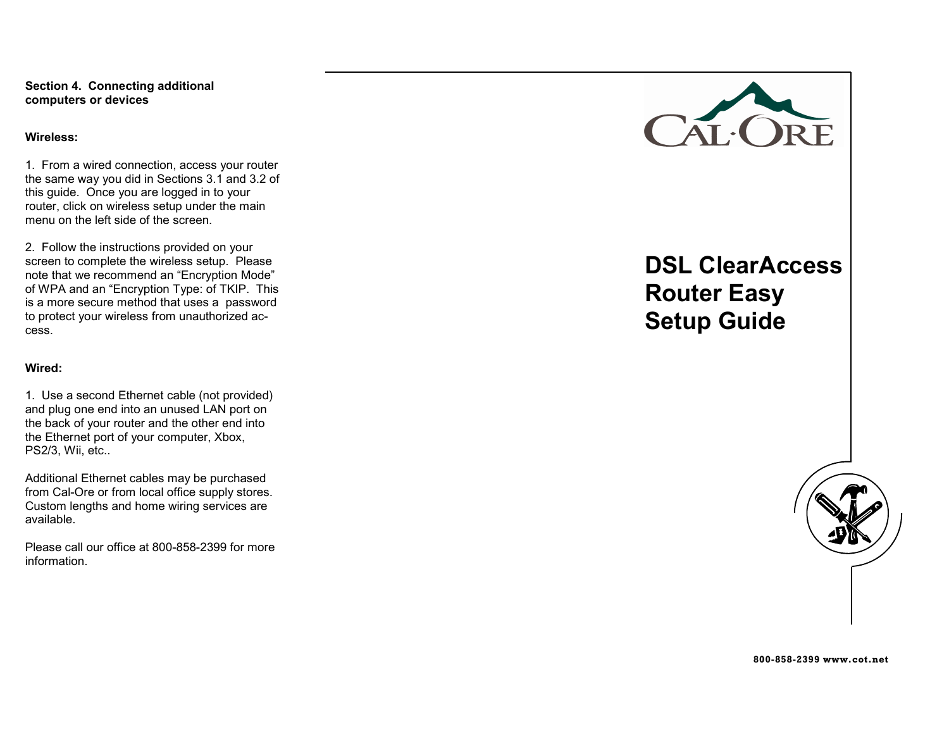Section 4. Connecting additional computers or devices

#### Wireless:

1. From a wired connection, access your router the same way you did in Sections 3.1 and 3.2 of this guide. Once you are logged in to your router, click on wireless setup under the main menu on the left side of the screen.

2. Follow the instructions provided on your screen to complete the wireless setup. Please note that we recommend an "Encryption Mode" of WPA and an "Encryption Type: of TKIP. This is a more secure method that uses a password to protect your wireless from unauthorized access.

#### Wired:

1. Use a second Ethernet cable (not provided) and plug one end into an unused LAN port on the back of your router and the other end into the Ethernet port of your computer, Xbox, PS2/3, Wii, etc..

Additional Ethernet cables may be purchased from Cal-Ore or from local office supply stores. Custom lengths and home wiring services are available.

Please call our office at 800-858-2399 for more information.



# DSL ClearAccess Router Easy Setup Guide